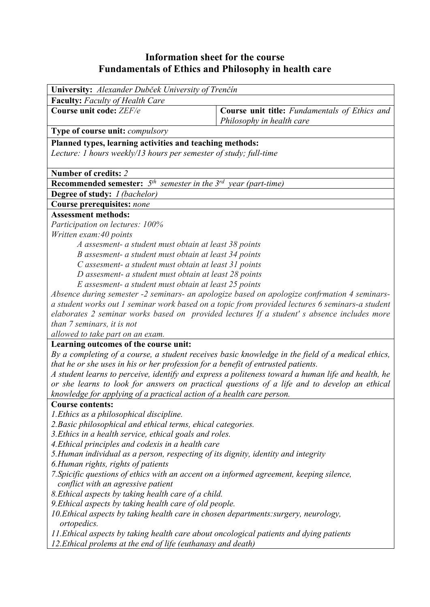## **Information sheet for the course Fundamentals of Ethics and Philosophy in health care**

| University: Alexander Dubček University of Trenčín                                                                              |                                                                                                    |  |  |  |  |  |
|---------------------------------------------------------------------------------------------------------------------------------|----------------------------------------------------------------------------------------------------|--|--|--|--|--|
| <b>Faculty:</b> Faculty of Health Care                                                                                          |                                                                                                    |  |  |  |  |  |
| Course unit code: ZEF/e                                                                                                         | Course unit title: Fundamentals of Ethics and<br>Philosophy in health care                         |  |  |  |  |  |
| Type of course unit: compulsory                                                                                                 |                                                                                                    |  |  |  |  |  |
| Planned types, learning activities and teaching methods:                                                                        |                                                                                                    |  |  |  |  |  |
| Lecture: 1 hours weekly/13 hours per semester of study; full-time                                                               |                                                                                                    |  |  |  |  |  |
|                                                                                                                                 |                                                                                                    |  |  |  |  |  |
| Number of credits: 2                                                                                                            |                                                                                                    |  |  |  |  |  |
| <b>Recommended semester:</b> $5th$ semester in the $3rd$ year (part-time)                                                       |                                                                                                    |  |  |  |  |  |
| <b>Degree of study:</b> <i>I (bachelor)</i>                                                                                     |                                                                                                    |  |  |  |  |  |
| Course prerequisites: none                                                                                                      |                                                                                                    |  |  |  |  |  |
| <b>Assessment methods:</b>                                                                                                      |                                                                                                    |  |  |  |  |  |
| Participation on lectures: 100%                                                                                                 |                                                                                                    |  |  |  |  |  |
| Written exam: 40 points<br>A assesment- a student must obtain at least 38 points                                                |                                                                                                    |  |  |  |  |  |
| B assesment- a student must obtain at least 34 points                                                                           |                                                                                                    |  |  |  |  |  |
| C assesment- a student must obtain at least 31 points                                                                           |                                                                                                    |  |  |  |  |  |
| D assesment- a student must obtain at least 28 points                                                                           |                                                                                                    |  |  |  |  |  |
| E assesment- a student must obtain at least 25 points                                                                           |                                                                                                    |  |  |  |  |  |
| Absence during semester -2 seminars- an apologize based on apologize confrmation 4 seminars-                                    |                                                                                                    |  |  |  |  |  |
| a student works out 1 seminar work based on a topic from provided lectures 6 seminars-a student                                 |                                                                                                    |  |  |  |  |  |
| elaborates 2 seminar works based on provided lectures If a student's absence includes more                                      |                                                                                                    |  |  |  |  |  |
| than 7 seminars, it is not                                                                                                      |                                                                                                    |  |  |  |  |  |
| allowed to take part on an exam.                                                                                                |                                                                                                    |  |  |  |  |  |
| Learning outcomes of the course unit:                                                                                           | By a completing of a course, a student receives basic knowledge in the field of a medical ethics,  |  |  |  |  |  |
| that he or she uses in his or her profession for a benefit of entrusted patients.                                               |                                                                                                    |  |  |  |  |  |
|                                                                                                                                 | A student learns to perceive, identify and express a politeness toward a human life and health, he |  |  |  |  |  |
| or she learns to look for answers on practical questions of a life and to develop an ethical                                    |                                                                                                    |  |  |  |  |  |
| knowledge for applying of a practical action of a health care person.                                                           |                                                                                                    |  |  |  |  |  |
| <b>Course contents:</b>                                                                                                         |                                                                                                    |  |  |  |  |  |
| 1. Ethics as a philosophical discipline.                                                                                        |                                                                                                    |  |  |  |  |  |
| 2. Basic philosophical and ethical terms, ehical categories.                                                                    |                                                                                                    |  |  |  |  |  |
| 3. Ethics in a health service, ethical goals and roles.                                                                         |                                                                                                    |  |  |  |  |  |
| 4. Ethical principles and codexis in a health care                                                                              |                                                                                                    |  |  |  |  |  |
| 5. Human individual as a person, respecting of its dignity, identity and integrity                                              |                                                                                                    |  |  |  |  |  |
| 6. Human rights, rights of patients<br>7. Spicific questions of ethics with an accent on a informed agreement, keeping silence, |                                                                                                    |  |  |  |  |  |
| conflict with an agressive patient                                                                                              |                                                                                                    |  |  |  |  |  |
| 8. Ethical aspects by taking health care of a child.                                                                            |                                                                                                    |  |  |  |  |  |
| 9. Ethical aspects by taking health care of old people.                                                                         |                                                                                                    |  |  |  |  |  |
| 10. Ethical aspects by taking health care in chosen departments: surgery, neurology,                                            |                                                                                                    |  |  |  |  |  |
| ortopedics.                                                                                                                     |                                                                                                    |  |  |  |  |  |
| 11. Ethical aspects by taking health care about oncological patients and dying patients                                         |                                                                                                    |  |  |  |  |  |
| 12. Ethical prolems at the end of life (euthanasy and death)                                                                    |                                                                                                    |  |  |  |  |  |
|                                                                                                                                 |                                                                                                    |  |  |  |  |  |